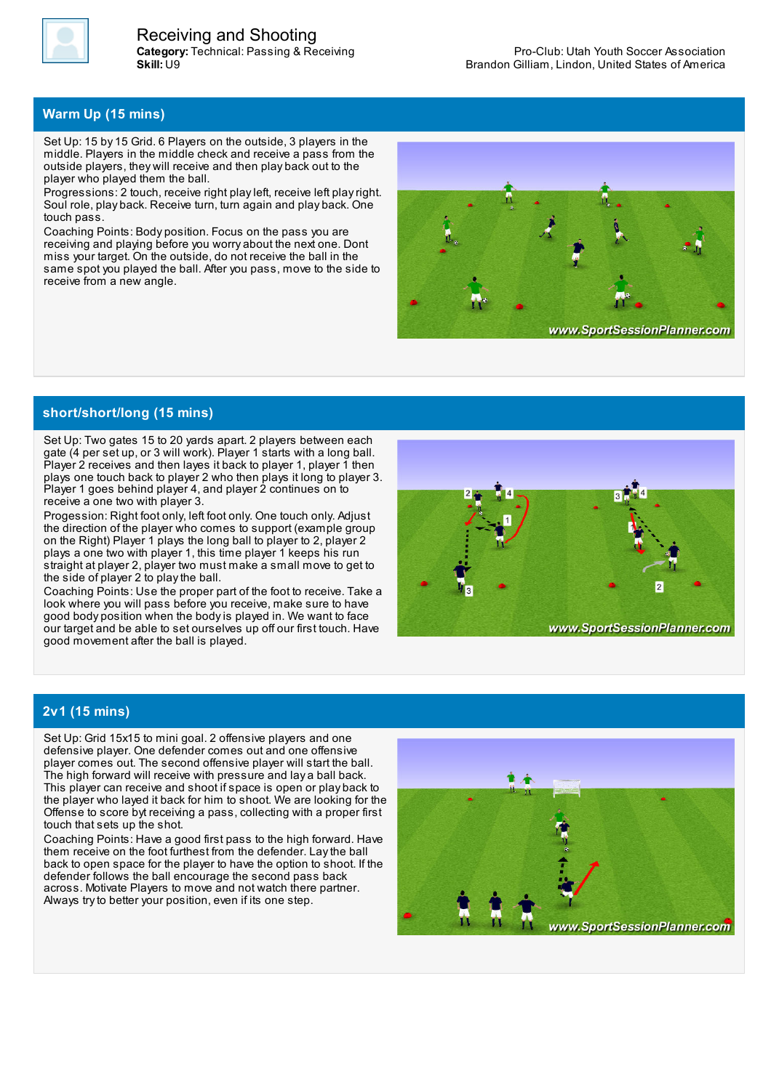

## **Warm Up (15 mins)**

Set Up: 15 by 15 Grid. 6 Players on the outside, 3 players in the middle. Players in the middle check and receive a pass from the outside players, they will receive and then play back out to the player who played them the ball.

Progressions: 2 touch, receive right playleft, receive left playright. Soul role, play back. Receive turn, turn again and play back. One touch pass.

Coaching Points: Body position. Focus on the pass you are receiving and playing before you worry about the next one. Dont miss your target. On the outside, do not receive the ball in the same spot you played the ball. After you pass, move to the side to receive from a new angle.



**short/short/long (15 mins)**

Set Up: Two gates 15 to 20 yards apart. 2 players between each gate (4 per set up, or 3 will work). Player 1 starts with a long ball. Player 2 receives and then layes it back to player 1, player 1 then plays one touch back to player 2 who then plays it long to player 3. Player 1 goes behind player 4, and player 2 continues on to receive a one two with player 3.

Progession: Right foot only, left foot only. One touch only. Adjust the direction of the player who comes to support (example group on the Right) Player 1 plays the long ball to player to 2, player 2 plays a one two with player 1, this time player 1 keeps his run straight at player 2, player two must make a small move to get to the side of player 2 to playthe ball.

Coaching Points: Use the proper part of the foot to receive. Take a look where you will pass before you receive, make sure to have good body position when the bodyis played in. We want to face our target and be able to set ourselves up off our first touch. Have good movement after the ball is played.



## **2v1 (15 mins)**

Set Up: Grid 15x15 to mini goal. 2 offensive players and one defensive player. One defender comes out and one offensive player comes out. The second offensive player will start the ball. The high forward will receive with pressure and lay a ball back. This player can receive and shoot if space is open or play back to the player who layed it back for him to shoot. We are looking for the Offense to score byt receiving a pass, collecting with a proper first touch that sets up the shot.

Coaching Points: Have a good first pass to the high forward. Have them receive on the foot furthest from the defender. Laythe ball back to open space for the player to have the option to shoot. If the defender follows the ball encourage the second pass back across. Motivate Players to move and not watch there partner. Always try to better your position, even if its one step.